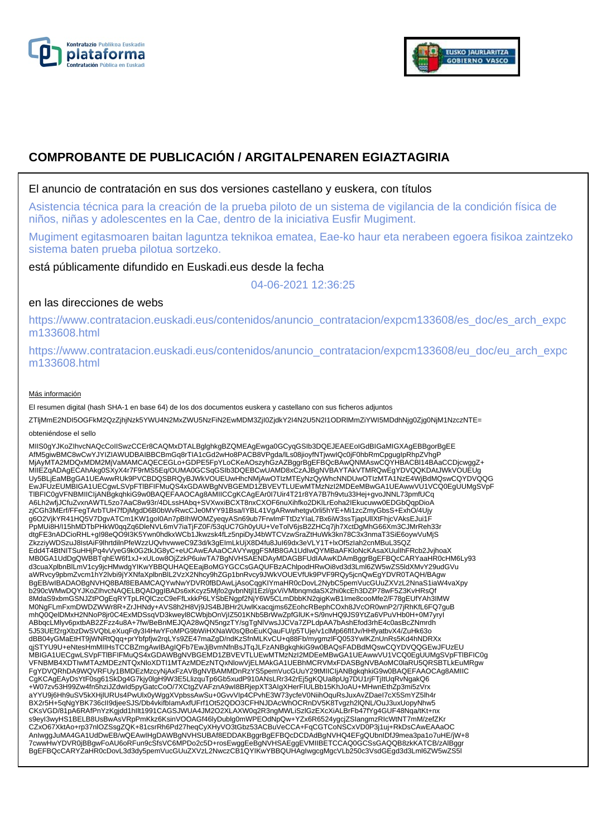



# **COMPROBANTE DE PUBLICACIÓN / ARGITALPENAREN EGIAZTAGIRIA**

## El anuncio de contratación en sus dos versiones castellano y euskera, con títulos

Asistencia técnica para la creación de la prueba piloto de un sistema de vigilancia de la condición física de niños, niñas y adolescentes en la Cae, dentro de la iniciativa Eusfir Mugiment.

Mugiment egitasmoaren baitan laguntza teknikoa ematea, Eae-ko haur eta nerabeen egoera fisikoa zaintzeko sistema baten prueba pilotua sortzeko.

está públicamente difundido en Euskadi.eus desde la fecha

04-06-2021 12:36:25

# en las direcciones de webs

https://www.contratacion.euskadi.eus/contenidos/anuncio\_contratacion/expcm133608/es\_doc/es\_arch\_expc m133608.html

https://www.contratacion.euskadi.eus/contenidos/anuncio\_contratacion/expcm133608/eu\_doc/eu\_arch\_expc m133608.html

### Más información

El resumen digital (hash SHA-1 en base 64) de los dos documentos euskera y castellano con sus ficheros adjuntos

ZTljMmE2NDI5OGFkM2QzZjhjNzk5YWU4N2MxZWU5NzFiN2EwMDM3ZjI0ZjdkY2I4N2U5N2I1ODRlMmZiYWI5MDdhNjg0Zjg0NjM1NzczNTE=

#### obteniéndose el sello

MIIS0gYJKoZIhvcNAQcCoIISwzCCEr8CAQMxDTALBglghkgBZQMEAgEwga0GCyqGSIb3DQEJEAEEoIGdBIGaMIGXAgEBBgorBgEE AfM5giwBMC8wCwYJYIZIAWUDBAIBBCBmGq8rTIA1cGd2wHo8PACB8VPgda/lLs08jioyfNTjwwIQc0jF0hbRmCpgugIpRhpZVhgP MjAyMTA2MDQxMDM2MjVaMAMCAQECEGLo+GDPE5FpYLoCKeAOszyhGzAZBggrBgEFBQcBAwQNMAswCQYHBACBl14BAaCCDjcwggZ+ MIIEZqADAgECAhAkg0SXyX4r7F9rMS5Eq/OUMA0GCSqGSIb3DQEBCwUAMD8xCzAJBgNVBAYTAkVTMRQwEgYDVQQKDAtJWkVOUEUg Uy5BLjEaMBgGA1UEAwwRUk9PVCBDQSBRQyBJWkVOUEUwHhcNMjAwOTIzMTEyNzQyWhcNNDUwOTIzMTA1NzE4WjBdMQswCQYDVQQG<br>EwJFUzEUMBIGA1UECgwLSVpFTIBFIFMuQS4xGDAWBgNVBGEMD1ZBVEVTLUEwMTMzNzI2MDEeMBwGA1UEAwwVU1VCQ0EgUUMgSVpF TlBFIC0gVFNBMIICIjANBgkqhkiG9w0BAQEFAAOCAg8AMIICCgKCAgEAr0I7Uir4T21r8YA7B7h9vtu33Hej+gvoJNNL73pmfUCq A6Lh2wfjJCfuZvxnAWTL5zo7AaC8w93r/4DLssHAbq+SVXwxiBCXT8nxCXOF6nuXihfko2DKlLrEoha2IEkucuww0EDGbQqpDioA zjCGh3MErf/FFegTArbTUH7fDjMgdD6B0bWvRwcCJe0MYY91Bsa/IYBL41VgARwwhetgv0rli5hYE+Mi1zcZmyGbsS+ExhO/4Ujy g6O2VjkYR41HQ5V7DgvATCm1KW1goI0An7pBIhWOMZyeqyASn69ub7FrwlmFTtDzYIaL7Bx6iW3ssTjapUllXtFhjcVAksEJui1F PpMUi8H/I15hMDTbPHkW0qqZq6DleNVL6mV7iaTjFZ0F/53qUC7Gh0yUU+VeTolV6jsB2ZHCq7jh7XctDgMhG66Xm3CJMrReh33r dtgFE3nADCioRHL+gI98eQO9I3K5Ywn0hdkxWCb1Jkwzsk4fLz5npiDyJ4bWTCVzwSraZtHuWk3kn78C3x3nmaT3SiE6oywVuMjS ZkzziyWDSzuJ8IstAiF9lhrtdilnPfeWzzUQvhvwweC9Z3d/k3gEImLkUjX8D4fu8JuI69dx3eVLY1T+lxOf5zIah2cnMBuL35QZ Edd4T4BtNITSuHHjPq4vVyeG9k0G2tkJG8yC+eUCAwEAAaOCAVYwggFSMB8GA1UdIwQYMBaAFKloNcKAsaXUulIhFRcb2JvjhoaX MB0GA1UdDgQWBBTqhEW6f1xJ+xULow8OjZzkP6uiwTA7BgNVHSAENDAyMDAGBFUdIAAwKDAmBggrBgEFBQcCARYaaHR0cHM6Ly93 d3cuaXplbnBlLmV1cy9jcHMwdgYIKwYBBQUHAQEEajBoMGYGCCsGAQUFBzAChlpodHRwOi8vd3d3Lml6ZW5wZS5ldXMvY29udGVu aWRvcy9pbmZvcm1hY2lvbi9jYXNfaXplbnBlL2VzX2Nhcy9hZGp1bnRvcy9JWkVOUEVfUk9PVF9RQy5jcnQwEgYDVR0TAQH/BAgw BgEB/wIBADAOBgNVHQ8BAf8EBAMCAQYwNwYDVR0fBDAwLjAsoCqgKIYmaHR0cDovL2NybC5pemVucGUuZXVzL2NnaS1iaW4vaXpy b290cWMwDQYJKoZlhvcNAQELBQADggIBADs6xKcyz5Mjfo2gvbnNtjl1Ezl/gxViVMbnqmdaSX2hi0kcEh3DZP78wF5Z3KvHRsQf<br>8MdaS9xbmGSNJZtPOgEqRYTpLRQlCzcC9eFfLxkkP6LYSbENgpf2NjY6W5CLmDbbKN2qigKwB1Ime8cooMfe2/F78gEUfYAh3IMW M0NgFLmFxmDWDZWWr8R+ZrJHNdy+AVS8h2H8Vj9JS4BJBHr2UwlKxacqjms6ZEohcRBephCOxh8JVcOR0wnP2/7jRhKfL6FQ7guB<br>mhQ0QeIDMxH2NNoP8jr0C4ExMDSsqVD3kweyl8CWbjbOnVjIZ501KNb5BrWwZpfGlUK+S/9nvHQ9JS9YtZa6VPuVHb0H+0M7yryI ABbqcLMlyv6pxtbAB2ZFzz4u8A+7fw/BeBnMEJQA28wQN5ngzTY/sgTgNlVwsJJCVa7ZPLdpAA7bAshEfod3rhE4c0asBcZNmrdh<br>5J53UEf2rgXbzDwSVQbLeXuqFdy3I4HwYFoMPG9bWiHXNaW0sQBoEuKQauFU/p5TUje/v1clMp66flfJv/HHfyatbvX4/ZuHk63o dBB04yGMaEtHT9jWNRtQqq+prYbfpfjw2rqLYs9ZE47maZgD/ndKzSfnMLKvCU+q88Fb/mygmzlFQ053YwlKZnUnRs5Kd4hNDRXx qjSTYU9U+eNtesHmMIIHsTCCBZmgAwIBAgIQFb7EwJjBvmNfnBsJTqJLFzANBgkqhkiG9w0BAQsFADBdMQswCQYDVQQGEwJFUzEU MBIGA1UECgwLSVpFTlBFIFMuQS4xGDAWBgNVBGEMD1ZBVEVTLUEwMTMzNzI2MDEeMBwGA1UEAwwVU1VCQ0EgUUMgSVpFTlBFIC0g VFNBMB4XDTIwMTAzMDEzNTQxNloXDTI1MTAzMDEzNTQxNlowVjELMAkGA1UEBhMCRVMxFDASBgNVBAoMC0laRU5QRSBTLkEuMRgw FgYDVQRhDA9WQVRFUy1BMDEzMzcyNjAxFzAVBgNVBAMMDnRzYS5pemVucGUuY29tMIICIjANBgkqhkiG9w0BAQEFAAOCAg8AMIIC<br>CgKCAgEAyDsYtF0sg61SkDg4G7kjy0lgH9W3E5LlizquTp6Gb5xudP910ANsLRr342rEj5gKQUa8pUg7DU1rjFTjItUqRvNgakQ6 +W07zv53H99Zw4fn5hziJZdwId5pyGatcCoO/7XCtgZVAFznA9wI8BRjepXT3AIgXHerFIULBb15KhJoAU+MHwnEthZp3mi5zVrx aYYU9j6Hh9uSV5kXHjlURUs4PwUlx0yWggXVpbssAwSu+0GvvVIp4CPvhE3W73ycfeV0NiihOquRsJuxAvZDaeI7cX5SmYZ5lh4r BX2r5H+5qNgYBK736cII9djeeSJS/Db4vkifbIamAxfUFrf1Ot52QDO3CFHNJDAcWhOCRnDV5K8Tvgzh2lQNL/OuJ3uxUopyNhw5 CKsVGD/81pA6RAfPnYzKgjdd1hIlt1991CAGSJWUA4JM2O2XLAXW0q2R3ngMWLiSzlGzEXcXiALBrFb47fYg4GUF48Nqa/tKt+nx s9eyI3wyHS1BELB8UsBwAsVRpPmKkz6KsinVOOAGf46lyDublg0mWPEOdNpQw+YZx6R6524ygcjZSIangmzRIcWtNT7mM/zefZKr CZxO67XktAo+rp37nlOZSsgZQK+81csrRh6Pd27heqCyXHyVO3tGbz53ACBuVeCCA+FqCGTCoNSCxVD0P3j1uj+RkDsCAwEAAaOC<br>AnIwggJuMA4GA1UdDwEB/wQEAwIHgDAWBgNVHSUBAf8EDDAKBggrBgEFBQcDCDAdBgNVHQ4EFgQUbnIDfJ9mea3pa1o7uHE/jW+8<br>7cwwHwYDVR0jBBgwFoAU BgEFBQcCARYZaHR0cDovL3d3dy5pemVucGUuZXVzL2NwczCB1QYIKwYBBQUHAgIwgcgMgcVLb250c3VsdGEgd3d3Lml6ZW5wZS5l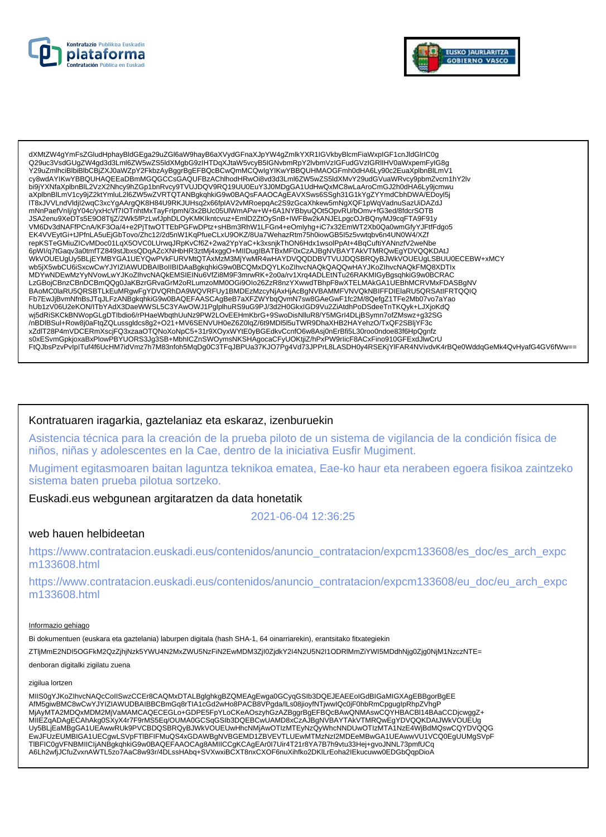



dXMtZW4gYmFsZGludHphayBldGEga29uZGl6aW9hayB6aXVydGFnaXJpYW4gZmlkYXR1IGVkbyBlcmFiaWxpIGF1cnJldGlrlC0g Q29uc3VsdGUqZW4qd3d3Lml6ZW5wZS5ldXMqbG9zIHTDqXJtaW5vcyB5lGNvbmRpY2lvbmVzIGFudGVzIGRIIHV0aWxpemFylG8q Y29uZmlhciBlbiBlbCBjZXJ0aWZpY2FkbzAyBggrBgEFBQcBCwQmMCQwlgYlKwYBBQUHMAOGFmh0dHA6Ly90c2EuaXplbnBlLmV1 cy8wdAYIKwYBBQUHAQEEaDBmMGQGCCsGAQUFBzAChlhodHRwOi8vd3d3Lml6ZW5wZS5ldXMvY29udGVuaWRvcy9pbmZvcm1hY2lv bi9jYXNfaXplbnBlL2VzX2Nhcy9hZGp1bnRvcy9TVUJDQV9RQ19UU0EuY3J0MDgGA1UdHwQxMC8wLaAroCmGJ2h0dHA6Ly9jcmwu aXplbnBlLmV1cy9jZ2ktYmluL2l6ZW5wZVRTQTANBgkqhkiG9w0BAQsFAAOCAgEAVXSws6SSgh31G1kYgZYYmdCbhDWA/EDoyl5j IT8xJVVLndVldjI2wqC3xcYgAArgQK8H84U9RKJUHsq2x66fplAV2vMRoepqAc2S9zGcaXhkew5mNgXQF1pWqVadnuSazUiDAZdJ<br>mNnPaefVnlj/gY04c/yxHcVf7lOTnhtMxTayFrlpmN/3x2BUc05UlWmAPw+W+6A1NYBbyuQOt5OpvRU/bOmv+fG3ed/8fdcrSOTB umvin aerviniyyi v=v=yxi v=vri.org/miliwix.rayi np/inv>xzbocotowniki/wi-v=vxi-org/miliwi-aerviniyyi-v=v=v=v=v=v<br>USA2enu9XeDTs5E9O8TtjZ/2Wk5fPzLwfJphDLOyKMKIkntcvuz+EmID2ZtOySnB+IWFBw2kANJELpgcOJrBQnyMJ9cqFTA9F91y<br>VM6Dv3dN EK4VVEytGi+tJPfnLA5uEjGbTovo/Zhc12/2d5nW1KqPfueCLxU9OKZ/8Ua7WehazRtm75h0iowGB5I5z5vwtqbv6n4UN0W4/XZf repKSTeGMiuZICvMDoc01LqX5OVC0LUrwqJRpKvCf6Z+2wa2YpYaC+k3xsnjkThON6Hdx1wsolPpAt+4BqCuftiYANnzfV2weNbe 6pWl/q7tGaqv3a0tmfTZ849stJbxsQDqAZcXNHbHR3ztMj4xggO+MIIDugIBATBxMF0xCzAJBgNVBAYTAkVTMRQwEgYDVQQKDAtJ WKVOUEUgUy5BLJEYMBYGA1UEYQwPVkFURVMtQTAxMZM3MjYwMR4wHAYDVQQDDBVTVUJDQSBRQyBJWKVOUEUgLSBUU0ECEBW+xMCY wb5jX5wbCU6iSxcwCwYJYIZIAWUDBAIBoIIBIDAaBgkqhkiG9w0BCQMxDQYLKoZIhvcNAQkQAQQwHAYJKoZIhvcNAQkFMQ8XDTlx MDYwNDEwMzYyNVowLwYJKoZlhvcNAQkEMSIEINu6VfZi8M9F3mrwRK+2o0a/rv1Xrq4ADLEtNTu26RAKMIGyBgsqhkiG9w0BCRAC<br>LzGBojCBnzCBnDCBmQQg0JaKBzrGRvaGrM2oRLumzoMM0OGi9Olo26ZzR8nzYXwwdTBhpF8wXTELMAkGA1UEBhMCRVMxFDASBgNV BAoMC0laRU5QRSBTLkEuMRgwFgYDVQRhDA9WQVRFUy1BMDEzMzcyNjAxHjAcBgNVBAMMFVNVQkNBIFFDIElaRU5QRSAtlFRTQQIQ Fb7EwJjBvmNfnBsJTgJLFzANBgkghkiG9w0BAQEFAASCAgBeB7aXFZWYbgQvmN7sw8GAeGwF1fc2M/8QefgZ1TFe2Mb07vo7aYao hUb1zV06U2eKON/ITbYAdX3DaeWWSL5C3YAwOWJ1PglplhuRS9uG9PJ/3d2H0GkxIGD9Vu2ZiAtdhPoDSdeeTnTKQyk+LJXjoKdQ wj5dRiSKCkBNWopGLgDTlbdio6/rPHaeWbqthUuNz9PW2LOvEEHmKbrG+9SwoDisNlluR8/Y5MGrl4DLjBSymn7ofZMswz+g32SG /nBDIBSul+Row8j0aFtqZQLussgldcs8g2+O21+MV6SENVUH0eZ6Z0lqZ/6t9MDl5l5uTWR9DhaXHB2HAYehzO/TxQF2SBljYF3c xZdlT28P4mVDCERmXscjFQ3xzaaOTQNoXoNpC5+31r9XOyxWYtE0yBGEdkvCcnfO6w8Asj0nErBfi5L30roo0ndoe83f6HpQgnfz s0xESvmGpkjoxaBxPlowPBYUORS3Jg3SB+MbhlCZnSWOymsNKSHAgocaCFyUOKtjiZ/hPxPW9rlicF8ACxFino910GFExdJlwCrU FtQJbsPzvPvIpITuf4f6UcHM7idVmz7h7M83nfoh5MqDg0C3TFqJBPUa37KJO7Pg4Vd73JPPrL8LASDH0y4RSEKjYIFAR4NVivdvK4rBQe0WddqGeMk4QvHyafG4GV6fWw==

### Kontratuaren iragarkia, gaztelaniaz eta eskaraz, izenburuekin

Asistencia técnica para la creación de la prueba piloto de un sistema de vigilancia de la condición física de niños, niñas y adolescentes en la Cae, dentro de la iniciativa Eusfir Mugiment.

Mugiment egitasmoaren baitan laguntza teknikoa ematea, Eae-ko haur eta nerabeen egoera fisikoa zaintzeko sistema baten prueba pilotua sortzeko.

Euskadi.eus webgunean argitaratzen da data honetatik

2021-06-04 12:36:25

### web hauen helbideetan

https://www.contratacion.euskadi.eus/contenidos/anuncio\_contratacion/expcm133608/es\_doc/es\_arch\_expc m133608.html

https://www.contratacion.euskadi.eus/contenidos/anuncio\_contratacion/expcm133608/eu\_doc/eu\_arch\_expc m133608.html

### Informazio gehiago

Bi dokumentuen (euskara eta gaztelania) laburpen digitala (hash SHA-1, 64 oinarriarekin), erantsitako fitxategiekin

ZTIjMmE2NDI5OGFkM2QzZjhjNzk5YWU4N2MxZWU5NzFiN2EwMDM3ZjI0ZjdkY2I4N2U5N2I1ODRIMmZiYWI5MDdhNjg0Zjg0NjM1NzczNTE=

denboran digitalki zigilatu zuena

#### zigilua lortzen

MIIS0gYJKoZIhvcNAQcCoIISwzCCEr8CAQMxDTALBglghkgBZQMEAgEwga0GCyqGSIb3DQEJEAEEoIGdBIGaMIGXAgEBBgorBgEE<br>AfM5giwBMC8wCwYJYIZIAWUDBAIBBCBmGq8rTIA1cGd2wHo8PACB8VPgda/ILs08jioyfNTjwwIQc0jF0hbRmCpguglpRhpZVhgP<br>MjAyMTA2MDQxMDM2MjVa Uy5BLiEaMBgGA1UEAwwRUk9PVCBDQSBRQyBJWkVOUEUwHhcNMjAwOTIzMTEyNzQyWhcNNDUwOTIzMTA1NzE4WjBdMQswCQYDVQQG EwJFUzEUMBIGA1UECgwLSVpFTIBFIFMuQS4xGDAWBgNVBGEMD1ZBVEVTLUEwMTMzNzI2MDEeMBwGA1UEAwwVU1VCQ0EgUUMgSVpF TIBFIC0gVFNBMIICIjANBgkqhkiG9w0BAQEFAAOCAg8AMIICCgKCAgEAr0I7Uir4T21r8YA7B7h9vtu33Hej+gvoJNNL73pmfUCq A6Lh2wfjJCfuZvxnAWTL5zo7AaC8w93r/4DLssHAbq+SVXwxiBCXT8nxCXOF6nuXihfko2DKILrEoha2IEkucuww0EDGbQqpDioA